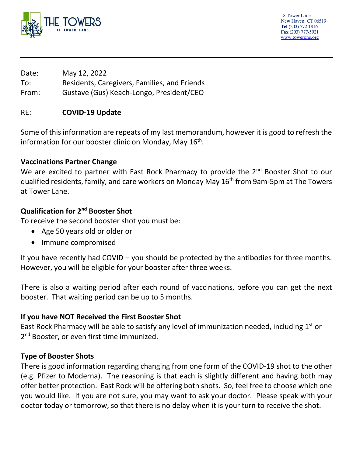

18 Tower Lane New Haven, CT 06519 Tel (203) 772-1816 Fax (203) 777-5921 [www.towerone.org](http://www.towerone.org/)

Date: May 12, 2022 To: Residents, Caregivers, Families, and Friends From: Gustave (Gus) Keach-Longo, President/CEO

# RE: **COVID-19 Update**

Some of this information are repeats of my last memorandum, however it is good to refresh the information for our booster clinic on Monday, May  $16^{th}$ .

## **Vaccinations Partner Change**

We are excited to partner with East Rock Pharmacy to provide the 2<sup>nd</sup> Booster Shot to our qualified residents, family, and care workers on Monday May 16<sup>th</sup> from 9am-5pm at The Towers at Tower Lane.

# **Qualification for 2nd Booster Shot**

To receive the second booster shot you must be:

- Age 50 years old or older or
- Immune compromised

If you have recently had COVID – you should be protected by the antibodies for three months. However, you will be eligible for your booster after three weeks.

There is also a waiting period after each round of vaccinations, before you can get the next booster. That waiting period can be up to 5 months.

# **If you have NOT Received the First Booster Shot**

East Rock Pharmacy will be able to satisfy any level of immunization needed, including  $1<sup>st</sup>$  or 2<sup>nd</sup> Booster, or even first time immunized.

# **Type of Booster Shots**

There is good information regarding changing from one form of the COVID-19 shot to the other (e.g. Pfizer to Moderna). The reasoning is that each is slightly different and having both may offer better protection. East Rock will be offering both shots. So, feel free to choose which one you would like. If you are not sure, you may want to ask your doctor. Please speak with your doctor today or tomorrow, so that there is no delay when it is your turn to receive the shot.